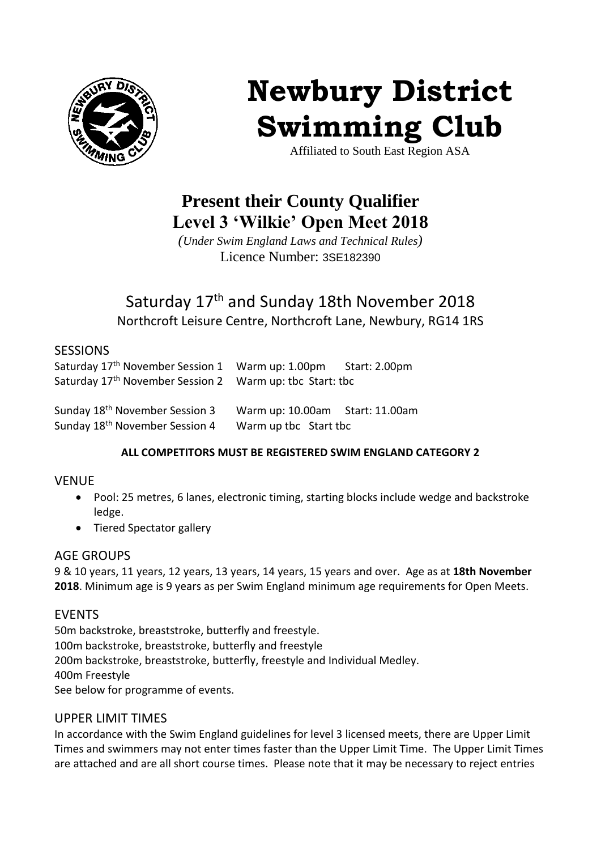

# **Newbury District Swimming Club**

Affiliated to South East Region ASA

# **Present their County Qualifier Level 3 'Wilkie' Open Meet 2018**

*(Under Swim England Laws and Technical Rules)* Licence Number: 3SE182390

# Saturday 17<sup>th</sup> and Sunday 18th November 2018 Northcroft Leisure Centre, Northcroft Lane, Newbury, RG14 1RS

#### SESSIONS

| Saturday 17th November Session 1 Warm up: 1.00pm Start: 2.00pm       |  |
|----------------------------------------------------------------------|--|
| Saturday 17 <sup>th</sup> November Session 2 Warm up: tbc Start: tbc |  |
|                                                                      |  |

| Sunday 18 <sup>th</sup> November Session 3 | Warm up: 10.00am Start: 11.00am |  |
|--------------------------------------------|---------------------------------|--|
| Sunday 18 <sup>th</sup> November Session 4 | Warm up tbc Start tbc           |  |

# **ALL COMPETITORS MUST BE REGISTERED SWIM ENGLAND CATEGORY 2**

# VENUE

- Pool: 25 metres, 6 lanes, electronic timing, starting blocks include wedge and backstroke ledge.
- Tiered Spectator gallery

# AGE GROUPS

9 & 10 years, 11 years, 12 years, 13 years, 14 years, 15 years and over. Age as at **18th November 2018**. Minimum age is 9 years as per Swim England minimum age requirements for Open Meets.

# EVENTS

50m backstroke, breaststroke, butterfly and freestyle. 100m backstroke, breaststroke, butterfly and freestyle 200m backstroke, breaststroke, butterfly, freestyle and Individual Medley. 400m Freestyle See below for programme of events.

# UPPER LIMIT TIMES

In accordance with the Swim England guidelines for level 3 licensed meets, there are Upper Limit Times and swimmers may not enter times faster than the Upper Limit Time. The Upper Limit Times are attached and are all short course times. Please note that it may be necessary to reject entries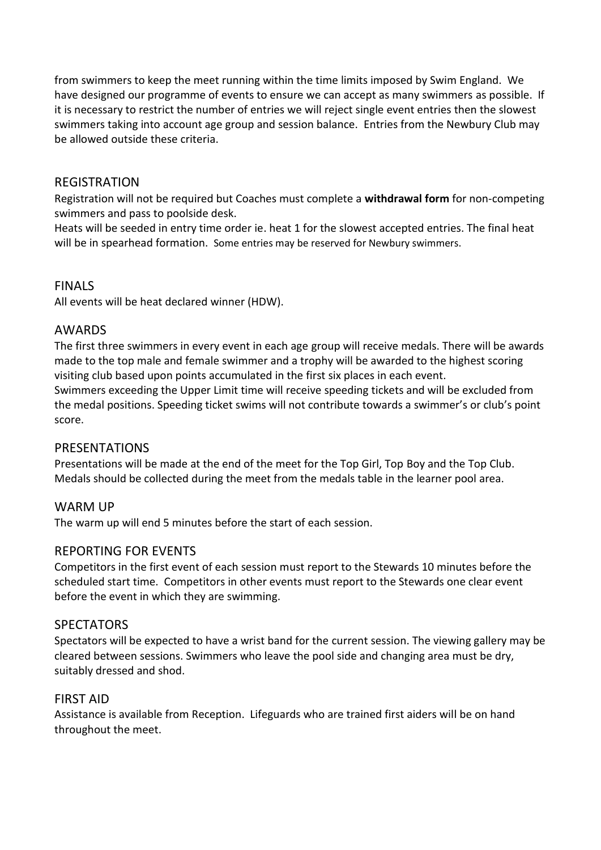from swimmers to keep the meet running within the time limits imposed by Swim England. We have designed our programme of events to ensure we can accept as many swimmers as possible. If it is necessary to restrict the number of entries we will reject single event entries then the slowest swimmers taking into account age group and session balance. Entries from the Newbury Club may be allowed outside these criteria.

#### REGISTRATION

Registration will not be required but Coaches must complete a **withdrawal form** for non-competing swimmers and pass to poolside desk.

Heats will be seeded in entry time order ie. heat 1 for the slowest accepted entries. The final heat will be in spearhead formation. Some entries may be reserved for Newbury swimmers.

#### FINALS

All events will be heat declared winner (HDW).

#### AWARDS

The first three swimmers in every event in each age group will receive medals. There will be awards made to the top male and female swimmer and a trophy will be awarded to the highest scoring visiting club based upon points accumulated in the first six places in each event. Swimmers exceeding the Upper Limit time will receive speeding tickets and will be excluded from

the medal positions. Speeding ticket swims will not contribute towards a swimmer's or club's point score.

#### PRESENTATIONS

Presentations will be made at the end of the meet for the Top Girl, Top Boy and the Top Club. Medals should be collected during the meet from the medals table in the learner pool area.

# WARM UP

The warm up will end 5 minutes before the start of each session.

#### REPORTING FOR EVENTS

Competitors in the first event of each session must report to the Stewards 10 minutes before the scheduled start time. Competitors in other events must report to the Stewards one clear event before the event in which they are swimming.

#### **SPECTATORS**

Spectators will be expected to have a wrist band for the current session. The viewing gallery may be cleared between sessions. Swimmers who leave the pool side and changing area must be dry, suitably dressed and shod.

#### FIRST AID

Assistance is available from Reception. Lifeguards who are trained first aiders will be on hand throughout the meet.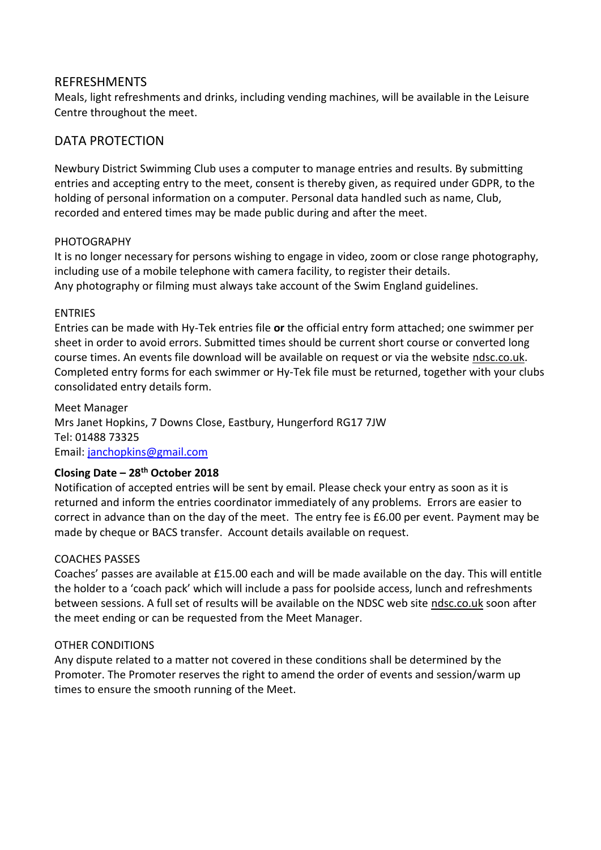#### REFRESHMENTS

Meals, light refreshments and drinks, including vending machines, will be available in the Leisure Centre throughout the meet.

# DATA PROTECTION

Newbury District Swimming Club uses a computer to manage entries and results. By submitting entries and accepting entry to the meet, consent is thereby given, as required under GDPR, to the holding of personal information on a computer. Personal data handled such as name, Club, recorded and entered times may be made public during and after the meet.

#### **PHOTOGRAPHY**

It is no longer necessary for persons wishing to engage in video, zoom or close range photography, including use of a mobile telephone with camera facility, to register their details. Any photography or filming must always take account of the Swim England guidelines.

#### ENTRIES

Entries can be made with Hy-Tek entries file **or** the official entry form attached; one swimmer per sheet in order to avoid errors. Submitted times should be current short course or converted long course times. An events file download will be available on request or via the website ndsc.co.uk. Completed entry forms for each swimmer or Hy-Tek file must be returned, together with your clubs consolidated entry details form.

Meet Manager Mrs Janet Hopkins, 7 Downs Close, Eastbury, Hungerford RG17 7JW Tel: 01488 73325 Email: [janchopkins@gmail.com](mailto:janchopkins@gmail.com)

#### **Closing Date – 28th October 2018**

Notification of accepted entries will be sent by email. Please check your entry as soon as it is returned and inform the entries coordinator immediately of any problems. Errors are easier to correct in advance than on the day of the meet.The entry fee is £6.00 per event. Payment may be made by cheque or BACS transfer. Account details available on request.

#### COACHES PASSES

Coaches' passes are available at £15.00 each and will be made available on the day. This will entitle the holder to a 'coach pack' which will include a pass for poolside access, lunch and refreshments between sessions. A full set of results will be available on the NDSC web site ndsc.co.uk soon after the meet ending or can be requested from the Meet Manager.

#### OTHER CONDITIONS

Any dispute related to a matter not covered in these conditions shall be determined by the Promoter. The Promoter reserves the right to amend the order of events and session/warm up times to ensure the smooth running of the Meet.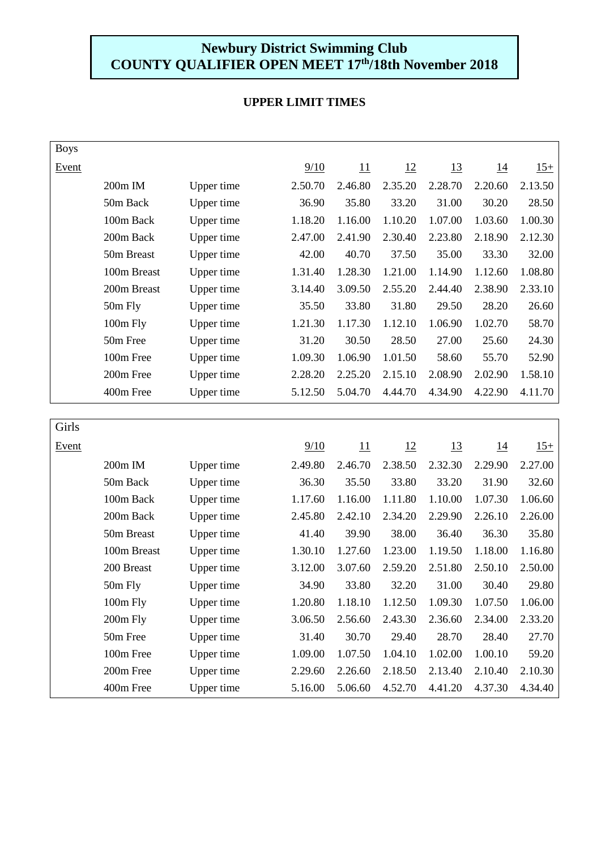# **Newbury District Swimming Club COUNTY QUALIFIER OPEN MEET 17th/18th November 2018**

| <b>Boys</b> |             |                   |                |         |           |           |            |         |
|-------------|-------------|-------------------|----------------|---------|-----------|-----------|------------|---------|
| Event       |             |                   | 9/10           | 11      | 12        | <u>13</u> | <u>14</u>  | $15+$   |
|             | 200m IM     | Upper time        | 2.50.70        | 2.46.80 | 2.35.20   | 2.28.70   | 2.20.60    | 2.13.50 |
|             | 50m Back    | Upper time        | 36.90          | 35.80   | 33.20     | 31.00     | 30.20      | 28.50   |
|             | 100m Back   | Upper time        | 1.18.20        | 1.16.00 | 1.10.20   | 1.07.00   | 1.03.60    | 1.00.30 |
|             | 200m Back   | Upper time        | 2.47.00        | 2.41.90 | 2.30.40   | 2.23.80   | 2.18.90    | 2.12.30 |
|             | 50m Breast  | Upper time        | 42.00          | 40.70   | 37.50     | 35.00     | 33.30      | 32.00   |
|             | 100m Breast | <b>Upper time</b> | 1.31.40        | 1.28.30 | 1.21.00   | 1.14.90   | 1.12.60    | 1.08.80 |
|             | 200m Breast | Upper time        | 3.14.40        | 3.09.50 | 2.55.20   | 2.44.40   | 2.38.90    | 2.33.10 |
|             | 50m Fly     | Upper time        | 35.50          | 33.80   | 31.80     | 29.50     | 28.20      | 26.60   |
|             | 100m Fly    | Upper time        | 1.21.30        | 1.17.30 | 1.12.10   | 1.06.90   | 1.02.70    | 58.70   |
|             | 50m Free    | Upper time        | 31.20          | 30.50   | 28.50     | 27.00     | 25.60      | 24.30   |
|             | 100m Free   | Upper time        | 1.09.30        | 1.06.90 | 1.01.50   | 58.60     | 55.70      | 52.90   |
|             | 200m Free   | Upper time        | 2.28.20        | 2.25.20 | 2.15.10   | 2.08.90   | 2.02.90    | 1.58.10 |
|             | 400m Free   | Upper time        | 5.12.50        | 5.04.70 | 4.44.70   | 4.34.90   | 4.22.90    | 4.11.70 |
|             |             |                   |                |         |           |           |            |         |
| Girls       |             |                   |                |         |           |           |            |         |
| Event       |             |                   | $\frac{9}{10}$ | 11      | <u>12</u> | <u>13</u> | <u> 14</u> | $15+$   |
|             | 200m IM     | Upper time        | 2.49.80        | 2.46.70 | 2.38.50   | 2.32.30   | 2.29.90    | 2.27.00 |
|             | 50m Back    | Upper time        | 36.30          | 35.50   | 33.80     | 33.20     | 31.90      | 32.60   |
|             | 100m Back   | Upper time        | 1.17.60        | 1.16.00 | 1.11.80   | 1.10.00   | 1.07.30    | 1.06.60 |
|             | 200m Back   | Upper time        | 2.45.80        | 2.42.10 | 2.34.20   | 2.29.90   | 2.26.10    | 2.26.00 |
|             | 50m Breast  | Upper time        | 41.40          | 39.90   | 38.00     | 36.40     | 36.30      | 35.80   |
|             | 100m Breast | Upper time        | 1.30.10        | 1.27.60 | 1.23.00   | 1.19.50   | 1.18.00    | 1.16.80 |
|             | 200 Breast  | Upper time        | 3.12.00        | 3.07.60 | 2.59.20   | 2.51.80   | 2.50.10    | 2.50.00 |
|             | 50m Fly     | Upper time        | 34.90          | 33.80   | 32.20     | 31.00     | 30.40      | 29.80   |
|             | 100m Fly    | Upper time        | 1.20.80        | 1.18.10 | 1.12.50   | 1.09.30   | 1.07.50    | 1.06.00 |
|             | 200m Fly    | Upper time        | 3.06.50        | 2.56.60 | 2.43.30   | 2.36.60   | 2.34.00    | 2.33.20 |
|             | 50m Free    | Upper time        | 31.40          | 30.70   | 29.40     | 28.70     | 28.40      | 27.70   |
|             | 100m Free   | Upper time        | 1.09.00        | 1.07.50 | 1.04.10   | 1.02.00   | 1.00.10    | 59.20   |
|             | 200m Free   | Upper time        | 2.29.60        | 2.26.60 | 2.18.50   | 2.13.40   | 2.10.40    | 2.10.30 |
|             | 400m Free   | <b>Upper time</b> | 5.16.00        | 5.06.60 | 4.52.70   | 4.41.20   | 4.37.30    | 4.34.40 |

# **UPPER LIMIT TIMES**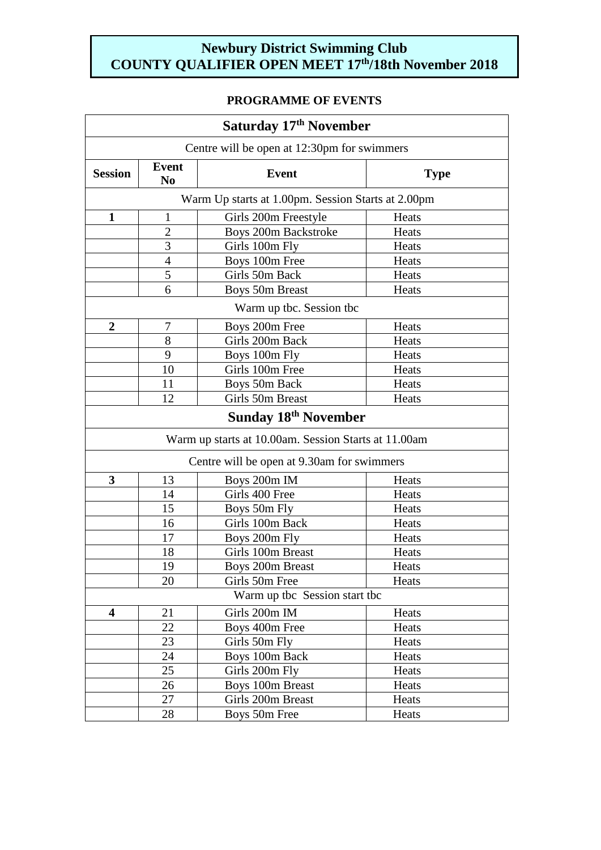# **Newbury District Swimming Club COUNTY QUALIFIER OPEN MEET 17th/18th November 2018**

# **PROGRAMME OF EVENTS**

| Saturday 17th November                      |                                |                                                      |             |  |
|---------------------------------------------|--------------------------------|------------------------------------------------------|-------------|--|
| Centre will be open at 12:30pm for swimmers |                                |                                                      |             |  |
| <b>Session</b>                              | <b>Event</b><br>N <sub>0</sub> | <b>Event</b>                                         | <b>Type</b> |  |
|                                             |                                | Warm Up starts at 1.00pm. Session Starts at 2.00pm   |             |  |
| $\mathbf{1}$                                | $\mathbf{1}$                   | Girls 200m Freestyle                                 | Heats       |  |
|                                             | $\overline{2}$                 | Boys 200m Backstroke                                 | Heats       |  |
|                                             | 3                              | Girls 100m Fly                                       | Heats       |  |
|                                             | $\overline{4}$                 | Boys 100m Free                                       | Heats       |  |
|                                             | 5                              | Girls 50m Back                                       | Heats       |  |
|                                             | 6                              | <b>Boys 50m Breast</b>                               | Heats       |  |
|                                             |                                | Warm up tbc. Session tbc                             |             |  |
| $\overline{2}$                              | 7                              | Boys 200m Free                                       | Heats       |  |
|                                             | 8                              | Girls 200m Back                                      | Heats       |  |
|                                             | 9                              | Boys 100m Fly                                        | Heats       |  |
|                                             | 10                             | Girls 100m Free                                      | Heats       |  |
|                                             | 11                             | Boys 50m Back                                        | Heats       |  |
|                                             | 12                             | Girls 50m Breast                                     | Heats       |  |
|                                             |                                | <b>Sunday 18th November</b>                          |             |  |
|                                             |                                | Warm up starts at 10.00am. Session Starts at 11.00am |             |  |
|                                             |                                | Centre will be open at 9.30am for swimmers           |             |  |
| 3                                           | 13                             | Boys 200m IM                                         | Heats       |  |
|                                             | 14                             | Girls 400 Free                                       | Heats       |  |
|                                             | 15                             | Boys 50m Fly                                         | Heats       |  |
|                                             | 16                             | Girls 100m Back                                      | Heats       |  |
|                                             | 17                             | Boys 200m Fly                                        | Heats       |  |
|                                             | 18                             | Girls 100m Breast                                    | Heats       |  |
|                                             | 19                             | Boys 200m Breast                                     | Heats       |  |
|                                             | 20                             | Girls 50m Free                                       | Heats       |  |
| Warm up tbc Session start tbc               |                                |                                                      |             |  |
| $\overline{\mathbf{4}}$                     | 21                             | Girls 200m IM                                        | Heats       |  |
|                                             | 22                             | Boys 400m Free                                       | Heats       |  |
|                                             | 23                             | Girls 50m Fly                                        | Heats       |  |
|                                             | 24                             | Boys 100m Back                                       | Heats       |  |
|                                             | 25                             | Girls 200m Fly                                       | Heats       |  |
|                                             | 26                             | Boys 100m Breast                                     | Heats       |  |
|                                             | 27                             | Girls 200m Breast                                    | Heats       |  |
|                                             | 28                             | Boys 50m Free                                        | Heats       |  |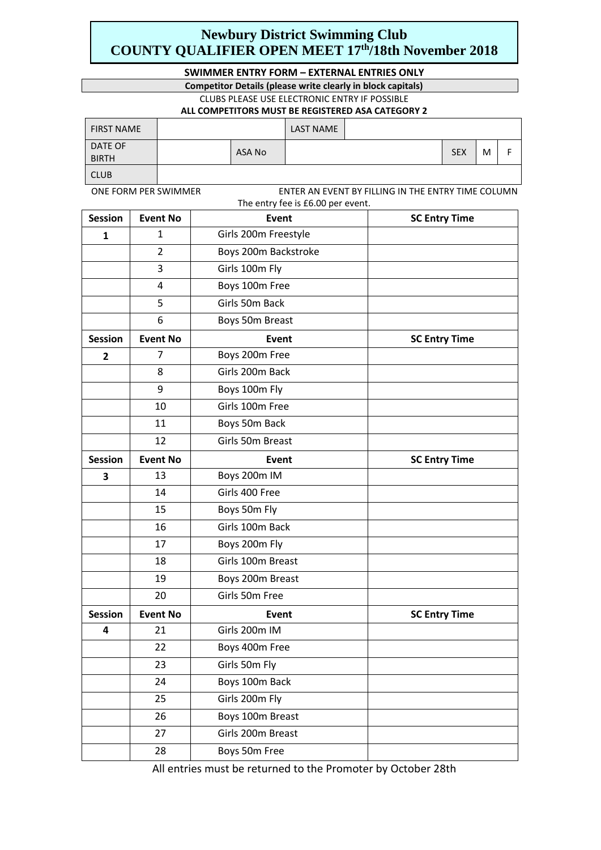# **Newbury District Swimming Club COUNTY QUALIFIER OPEN MEET 17th/18th November 2018**

#### **SWIMMER ENTRY FORM – EXTERNAL ENTRIES ONLY**

#### **Competitor Details (please write clearly in block capitals)**

CLUBS PLEASE USE ELECTRONIC ENTRY IF POSSIBLE

#### **ALL COMPETITORS MUST BE REGISTERED ASA CATEGORY 2**

| <b>FIRST NAME</b>       |        | <b>LAST NAME</b> |            |   |  |
|-------------------------|--------|------------------|------------|---|--|
| DATE OF<br><b>BIRTH</b> | ASA No |                  | <b>SEX</b> | M |  |
| <b>CLUB</b>             |        |                  |            |   |  |

ONE FORM PER SWIMMER ENTER AN EVENT BY FILLING IN THE ENTRY TIME COLUMN The entry fee is £6.00 per event.

| <b>Session</b> | <b>Event No</b> | Event                | <b>SC Entry Time</b> |
|----------------|-----------------|----------------------|----------------------|
| 1              | 1               | Girls 200m Freestyle |                      |
|                | $\overline{2}$  | Boys 200m Backstroke |                      |
|                | 3               | Girls 100m Fly       |                      |
|                | 4               | Boys 100m Free       |                      |
|                | 5               | Girls 50m Back       |                      |
|                | 6               | Boys 50m Breast      |                      |
| <b>Session</b> | <b>Event No</b> | Event                | <b>SC Entry Time</b> |
| $\mathbf{2}$   | 7               | Boys 200m Free       |                      |
|                | 8               | Girls 200m Back      |                      |
|                | 9               | Boys 100m Fly        |                      |
|                | 10              | Girls 100m Free      |                      |
|                | 11              | Boys 50m Back        |                      |
|                | 12              | Girls 50m Breast     |                      |
| <b>Session</b> | <b>Event No</b> | Event                | <b>SC Entry Time</b> |
| 3              | 13              | Boys 200m IM         |                      |
|                | 14              | Girls 400 Free       |                      |
|                | 15              | Boys 50m Fly         |                      |
|                | 16              | Girls 100m Back      |                      |
|                | 17              | Boys 200m Fly        |                      |
|                | 18              | Girls 100m Breast    |                      |
|                | 19              | Boys 200m Breast     |                      |
|                | 20              | Girls 50m Free       |                      |
| <b>Session</b> | <b>Event No</b> | Event                | <b>SC Entry Time</b> |
| 4              | 21              | Girls 200m IM        |                      |
|                | 22              | Boys 400m Free       |                      |
|                | 23              | Girls 50m Fly        |                      |
|                | 24              | Boys 100m Back       |                      |
|                | 25              | Girls 200m Fly       |                      |
|                | 26              | Boys 100m Breast     |                      |
|                | 27              | Girls 200m Breast    |                      |
|                | 28              | Boys 50m Free        |                      |

All entries must be returned to the Promoter by October 28th